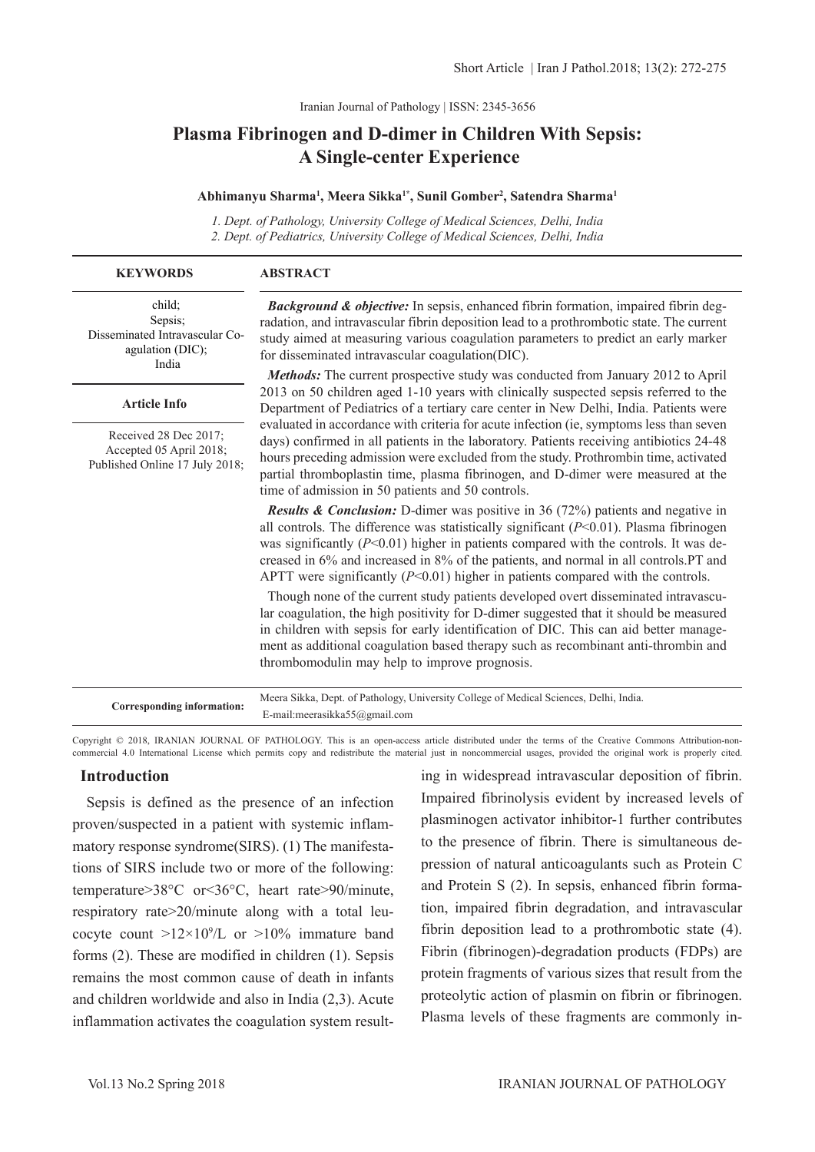Iranian Journal of Pathology | ISSN: 2345-3656

# **Plasma Fibrinogen and D-dimer in Children With Sepsis: A Single-center Experience**

#### **Abhimanyu Sharma1 , Meera Sikka1\*, Sunil Gomber2 , Satendra Sharma1**

*1. Dept. of Pathology, University College of Medical Sciences, Delhi, India 2. Dept. of Pediatrics, University College of Medical Sciences, Delhi, India*

| <b>KEYWORDS</b>                                                                    | <b>ABSTRACT</b>                                                                                                                                                                                                                                                                                                                                                                                                                                                                                                                                                                                     |
|------------------------------------------------------------------------------------|-----------------------------------------------------------------------------------------------------------------------------------------------------------------------------------------------------------------------------------------------------------------------------------------------------------------------------------------------------------------------------------------------------------------------------------------------------------------------------------------------------------------------------------------------------------------------------------------------------|
| child:<br>Sepsis;<br>Disseminated Intravascular Co-<br>agulation (DIC);<br>India   | Background & objective: In sepsis, enhanced fibrin formation, impaired fibrin deg-<br>radation, and intravascular fibrin deposition lead to a prothrombotic state. The current<br>study aimed at measuring various coagulation parameters to predict an early marker<br>for disseminated intravascular coagulation(DIC).                                                                                                                                                                                                                                                                            |
|                                                                                    | <b>Methods:</b> The current prospective study was conducted from January 2012 to April                                                                                                                                                                                                                                                                                                                                                                                                                                                                                                              |
| <b>Article Info</b>                                                                | 2013 on 50 children aged 1-10 years with clinically suspected sepsis referred to the<br>Department of Pediatrics of a tertiary care center in New Delhi, India. Patients were<br>evaluated in accordance with criteria for acute infection (ie, symptoms less than seven<br>days) confirmed in all patients in the laboratory. Patients receiving antibiotics 24-48<br>hours preceding admission were excluded from the study. Prothrombin time, activated<br>partial thromboplastin time, plasma fibrinogen, and D-dimer were measured at the<br>time of admission in 50 patients and 50 controls. |
| Received 28 Dec 2017;<br>Accepted 05 April 2018;<br>Published Online 17 July 2018; |                                                                                                                                                                                                                                                                                                                                                                                                                                                                                                                                                                                                     |
|                                                                                    | <b>Results &amp; Conclusion:</b> D-dimer was positive in 36 (72%) patients and negative in<br>all controls. The difference was statistically significant $(P<0.01)$ . Plasma fibrinogen<br>was significantly ( $P<0.01$ ) higher in patients compared with the controls. It was de-<br>creased in 6% and increased in 8% of the patients, and normal in all controls.PT and<br>APTT were significantly $(P<0.01)$ higher in patients compared with the controls.                                                                                                                                    |
|                                                                                    | Though none of the current study patients developed overt disseminated intravascu-<br>lar coagulation, the high positivity for D-dimer suggested that it should be measured<br>in children with sepsis for early identification of DIC. This can aid better manage-<br>ment as additional coagulation based therapy such as recombinant anti-thrombin and<br>thrombomodulin may help to improve prognosis.                                                                                                                                                                                          |
| Corresponding information:                                                         | Meera Sikka, Dept. of Pathology, University College of Medical Sciences, Delhi, India.<br>E-mail:meerasikka55@gmail.com                                                                                                                                                                                                                                                                                                                                                                                                                                                                             |

Copyright © 2018, IRANIAN JOURNAL OF PATHOLOGY. This is an open-access article distributed under the terms of the Creative Commons Attribution-noncommercial 4.0 International License which permits copy and redistribute the material just in noncommercial usages, provided the original work is properly cited.

#### **Introduction**

 Sepsis is defined as the presence of an infection proven/suspected in a patient with systemic inflammatory response syndrome(SIRS). (1) The manifestations of SIRS include two or more of the following: temperature>38°C or<36°C, heart rate>90/minute, respiratory rate>20/minute along with a total leucocyte count  $>12\times10^9$ /L or  $>10\%$  immature band forms (2). These are modified in children (1). Sepsis remains the most common cause of death in infants and children worldwide and also in India (2,3). Acute inflammation activates the coagulation system result-

ing in widespread intravascular deposition of fibrin. Impaired fibrinolysis evident by increased levels of plasminogen activator inhibitor-1 further contributes to the presence of fibrin. There is simultaneous depression of natural anticoagulants such as Protein C and Protein S (2). In sepsis, enhanced fibrin formation, impaired fibrin degradation, and intravascular fibrin deposition lead to a prothrombotic state (4). Fibrin (fibrinogen)-degradation products (FDPs) are protein fragments of various sizes that result from the proteolytic action of plasmin on fibrin or fibrinogen. Plasma levels of these fragments are commonly in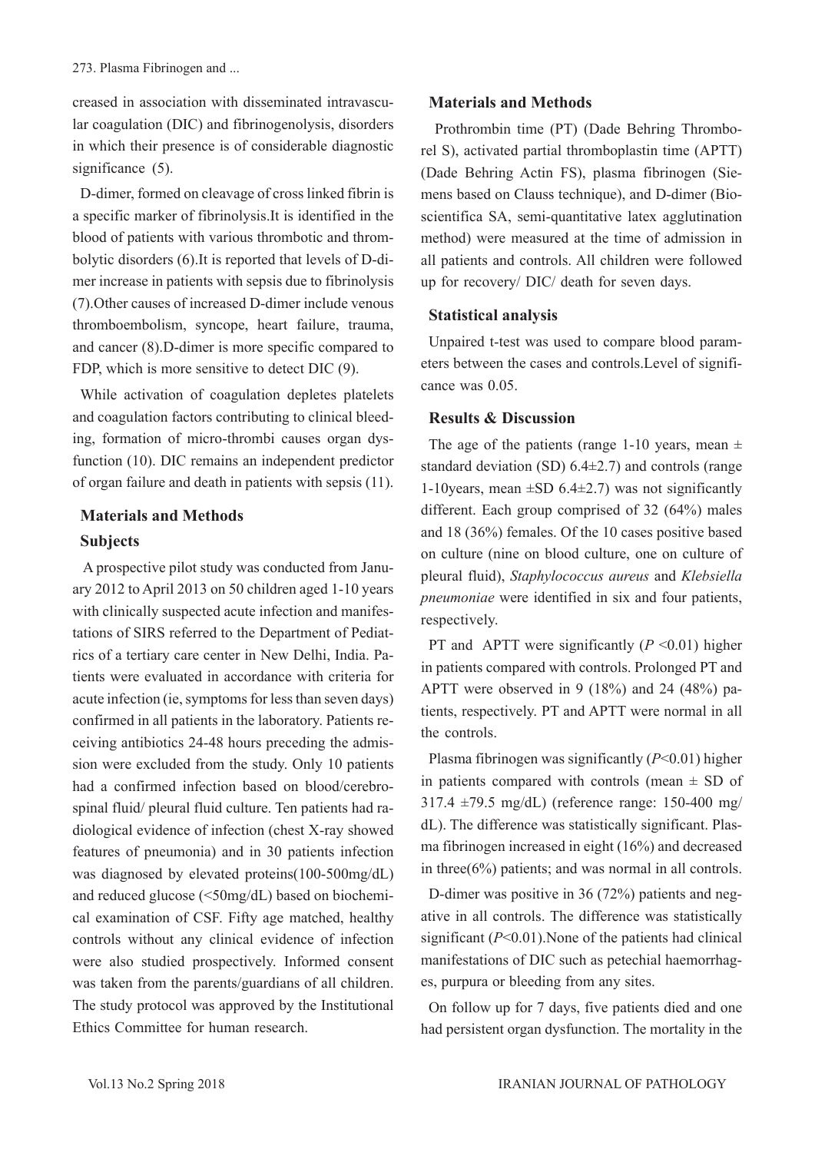creased in association with disseminated intravascular coagulation (DIC) and fibrinogenolysis, disorders in which their presence is of considerable diagnostic significance (5).

D-dimer, formed on cleavage of cross linked fibrin is a specific marker of fibrinolysis.It is identified in the blood of patients with various thrombotic and thrombolytic disorders (6).It is reported that levels of D-dimer increase in patients with sepsis due to fibrinolysis (7).Other causes of increased D-dimer include venous thromboembolism, syncope, heart failure, trauma, and cancer (8).D-dimer is more specific compared to FDP, which is more sensitive to detect DIC (9).

While activation of coagulation depletes platelets and coagulation factors contributing to clinical bleeding, formation of micro-thrombi causes organ dysfunction (10). DIC remains an independent predictor of organ failure and death in patients with sepsis (11).

# **Materials and Methods Subjects**

 A prospective pilot study was conducted from January 2012 to April 2013 on 50 children aged 1-10 years with clinically suspected acute infection and manifestations of SIRS referred to the Department of Pediatrics of a tertiary care center in New Delhi, India. Patients were evaluated in accordance with criteria for acute infection (ie, symptoms for less than seven days) confirmed in all patients in the laboratory. Patients receiving antibiotics 24-48 hours preceding the admission were excluded from the study. Only 10 patients had a confirmed infection based on blood/cerebrospinal fluid/ pleural fluid culture. Ten patients had radiological evidence of infection (chest X-ray showed features of pneumonia) and in 30 patients infection was diagnosed by elevated proteins(100-500mg/dL) and reduced glucose (<50mg/dL) based on biochemical examination of CSF. Fifty age matched, healthy controls without any clinical evidence of infection were also studied prospectively. Informed consent was taken from the parents/guardians of all children. The study protocol was approved by the Institutional Ethics Committee for human research.

# **Materials and Methods**

 Prothrombin time (PT) (Dade Behring Thromborel S), activated partial thromboplastin time (APTT) (Dade Behring Actin FS), plasma fibrinogen (Siemens based on Clauss technique), and D-dimer (Bioscientifica SA, semi-quantitative latex agglutination method) were measured at the time of admission in all patients and controls. All children were followed up for recovery/ DIC/ death for seven days.

### **Statistical analysis**

Unpaired t-test was used to compare blood parameters between the cases and controls.Level of significance was 0.05.

### **Results & Discussion**

The age of the patients (range 1-10 years, mean  $\pm$ standard deviation (SD) 6.4±2.7) and controls (range 1-10 years, mean  $\pm$ SD 6.4 $\pm$ 2.7) was not significantly different. Each group comprised of 32 (64%) males and 18 (36%) females. Of the 10 cases positive based on culture (nine on blood culture, one on culture of pleural fluid), *Staphylococcus aureus* and *Klebsiella pneumoniae* were identified in six and four patients, respectively.

PT and APTT were significantly  $(P \le 0.01)$  higher in patients compared with controls. Prolonged PT and APTT were observed in 9 (18%) and 24 (48%) patients, respectively. PT and APTT were normal in all the controls.

Plasma fibrinogen was significantly (*P*<0.01) higher in patients compared with controls (mean  $\pm$  SD of 317.4 ±79.5 mg/dL) (reference range: 150-400 mg/ dL). The difference was statistically significant. Plasma fibrinogen increased in eight (16%) and decreased in three $(6\%)$  patients; and was normal in all controls.

D-dimer was positive in 36 (72%) patients and negative in all controls. The difference was statistically significant (*P*<0.01).None of the patients had clinical manifestations of DIC such as petechial haemorrhages, purpura or bleeding from any sites.

On follow up for 7 days, five patients died and one had persistent organ dysfunction. The mortality in the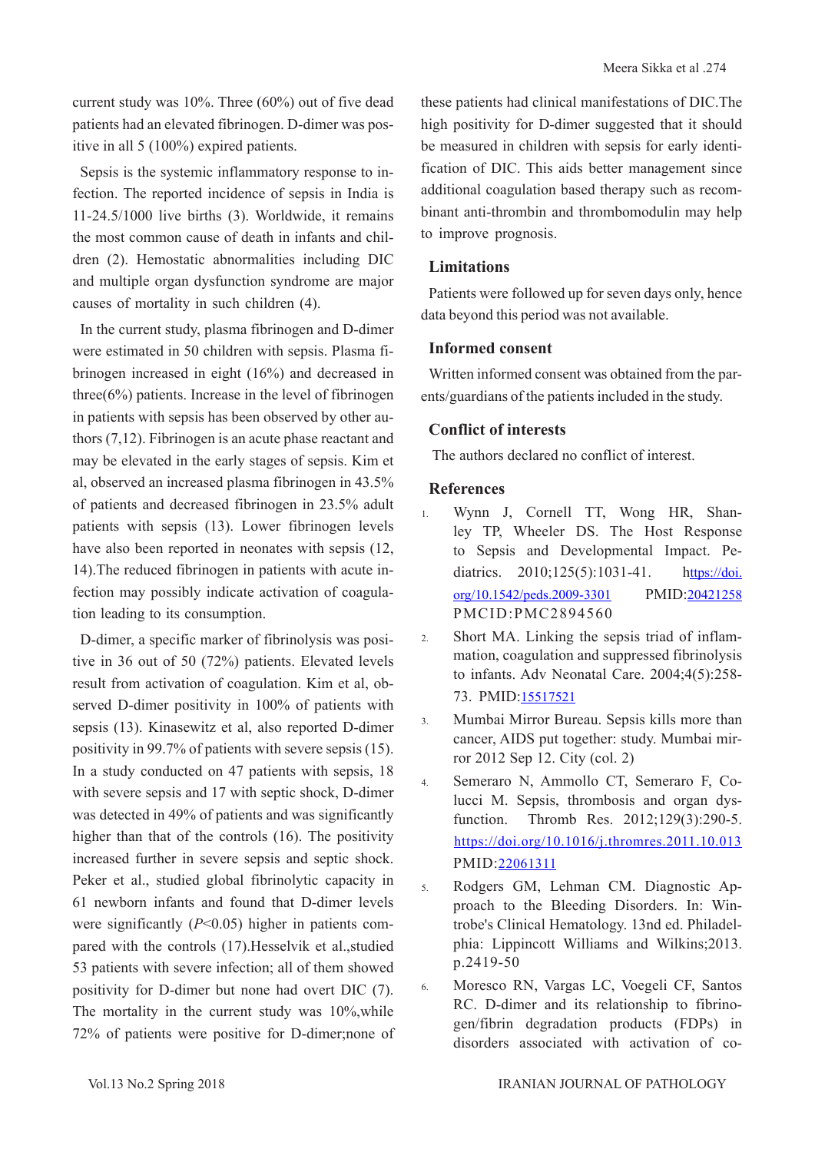current study was 10%. Three (60%) out of five dead patients had an elevated fibrinogen. D-dimer was positive in all 5 (100%) expired patients.

Sepsis is the systemic inflammatory response to infection. The reported incidence of sepsis in India is 11-24.5/1000 live births (3). Worldwide, it remains the most common cause of death in infants and children (2). Hemostatic abnormalities including DIC and multiple organ dysfunction syndrome are major causes of mortality in such children (4).

In the current study, plasma fibrinogen and D-dimer were estimated in 50 children with sepsis. Plasma fibrinogen increased in eight (16%) and decreased in three(6%) patients. Increase in the level of fibrinogen in patients with sepsis has been observed by other authors (7,12). Fibrinogen is an acute phase reactant and may be elevated in the early stages of sepsis. Kim et al, observed an increased plasma fibrinogen in 43.5% of patients and decreased fibrinogen in 23.5% adult patients with sepsis (13). Lower fibrinogen levels have also been reported in neonates with sepsis (12, 14).The reduced fibrinogen in patients with acute infection may possibly indicate activation of coagulation leading to its consumption.

D-dimer, a specific marker of fibrinolysis was positive in 36 out of 50 (72%) patients. Elevated levels result from activation of coagulation. Kim et al, observed D-dimer positivity in 100% of patients with sepsis (13). Kinasewitz et al, also reported D-dimer positivity in 99.7% of patients with severe sepsis (15). In a study conducted on 47 patients with sepsis, 18 with severe sepsis and 17 with septic shock, D-dimer was detected in 49% of patients and was significantly higher than that of the controls (16). The positivity increased further in severe sepsis and septic shock. Peker et al., studied global fibrinolytic capacity in 61 newborn infants and found that D-dimer levels were significantly (*P*<0.05) higher in patients compared with the controls (17).Hesselvik et al.,studied 53 patients with severe infection; all of them showed positivity for D-dimer but none had overt DIC (7). The mortality in the current study was 10%,while 72% of patients were positive for D-dimer;none of these patients had clinical manifestations of DIC.The high positivity for D-dimer suggested that it should be measured in children with sepsis for early identification of DIC. This aids better management since additional coagulation based therapy such as recombinant anti-thrombin and thrombomodulin may help to improve prognosis.

### **Limitations**

Patients were followed up for seven days only, hence data beyond this period was not available.

# **Informed consent**

Written informed consent was obtained from the parents/guardians of the patients included in the study.

# **Conflict of interests**

The authors declared no conflict of interest.

# **References**

- 1. Wynn J, Cornell TT, Wong HR, Shanley TP, Wheeler DS. The Host Response to Sepsis and Developmental Impact. Pediatrics. 2010;125(5):1031-41. [https://doi.](http://pediatrics.aappublications.org/content/125/5/1031?sso=1&sso_redirect_count=1&nfstatus=401&nftoken=00000000-0000-0000-0000-000000000000&nfstatusdescription=ERROR%3a+No+local+token) [org/10.1542/peds.2009-3301](http://pediatrics.aappublications.org/content/125/5/1031?sso=1&sso_redirect_count=1&nfstatus=401&nftoken=00000000-0000-0000-0000-000000000000&nfstatusdescription=ERROR%3a+No+local+token) PMID[:20421258](https://www.ncbi.nlm.nih.gov/pubmed/20421258) PMCID:PMC2894560
- 2. Short MA. Linking the sepsis triad of inflammation, coagulation and suppressed fibrinolysis to infants. Adv Neonatal Care. 2004;4(5):258- 73. PMID:[15517521](https://www.ncbi.nlm.nih.gov/pubmed/15517521)
- 3. Mumbai Mirror Bureau. Sepsis kills more than cancer, AIDS put together: study. Mumbai mirror 2012 Sep 12. City (col. 2)
- 4. Semeraro N, Ammollo CT, Semeraro F, Colucci M. Sepsis, thrombosis and organ dysfunction. Thromb Res. 2012;129(3):290-5. [https://doi.org/10.1016/j.thromres.2011.10.013](https://www.thrombosisresearch.com/article/S0049-3848(11)00553-6/fulltext)  PMID:[22061311](https://www.ncbi.nlm.nih.gov/pubmed/22061311)
- 5. Rodgers GM, Lehman CM. Diagnostic Approach to the Bleeding Disorders. In: Wintrobe's Clinical Hematology. 13nd ed. Philadelphia: Lippincott Williams and Wilkins;2013. p.2419-50
- 6. Moresco RN, Vargas LC, Voegeli CF, Santos RC. D-dimer and its relationship to fibrinogen/fibrin degradation products (FDPs) in disorders associated with activation of co-